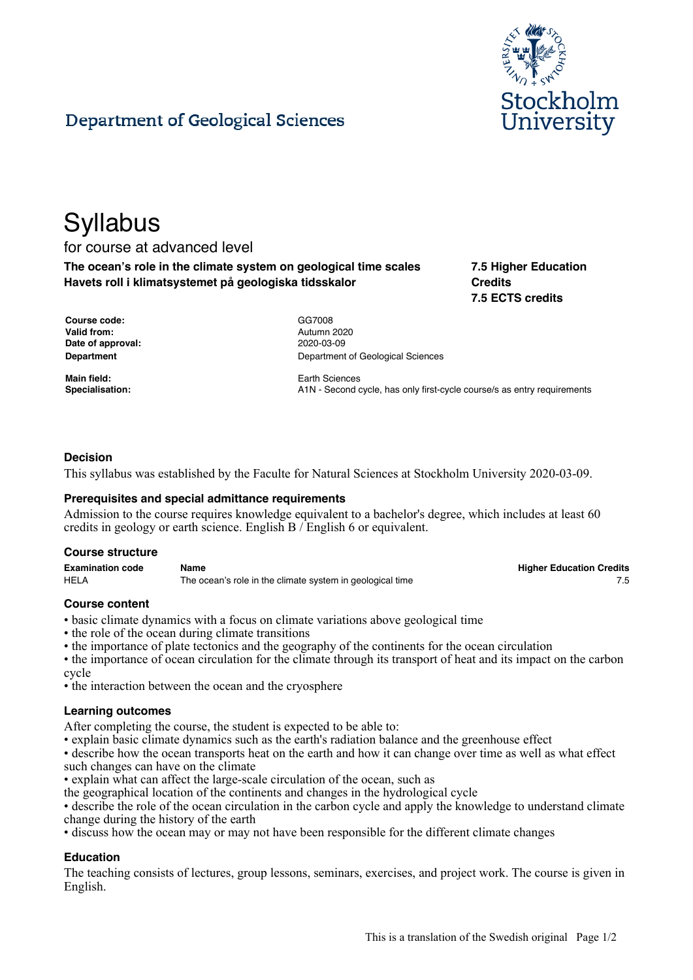

# Department of Geological Sciences

# **Syllabus**

# for course at advanced level

**The ocean's role in the climate system on geological time scales Havets roll i klimatsystemet på geologiska tidsskalor**

**7.5 Higher Education Credits 7.5 ECTS credits**

| Course code:      |
|-------------------|
| Valid from:       |
| Date of approval: |
| Department        |

**Course code:** GG7008 **Valid from:** Autumn 2020 **Date of approval:** 2020-03-09 **Department of Geological Sciences** 

**Main field:** Earth Sciences **Specialisation:** A1N - Second cycle, has only first-cycle course/s as entry requirements

# **Decision**

This syllabus was established by the Faculte for Natural Sciences at Stockholm University 2020-03-09.

# **Prerequisites and special admittance requirements**

Admission to the course requires knowledge equivalent to a bachelor's degree, which includes at least 60 credits in geology or earth science. English B / English 6 or equivalent.

#### **Course structure**

| <b>Examination code</b> | Name                                                      | <b>Higher Education Credits</b> |
|-------------------------|-----------------------------------------------------------|---------------------------------|
| <b>HELA</b>             | The ocean's role in the climate system in geological time |                                 |

**Higher Education Credits** 

# **Course content**

- basic climate dynamics with a focus on climate variations above geological time
- the role of the ocean during climate transitions
- the importance of plate tectonics and the geography of the continents for the ocean circulation
- the importance of ocean circulation for the climate through its transport of heat and its impact on the carbon cycle
- the interaction between the ocean and the cryosphere

#### **Learning outcomes**

After completing the course, the student is expected to be able to:

• explain basic climate dynamics such as the earth's radiation balance and the greenhouse effect

• describe how the ocean transports heat on the earth and how it can change over time as well as what effect such changes can have on the climate

• explain what can affect the large-scale circulation of the ocean, such as

the geographical location of the continents and changes in the hydrological cycle

• describe the role of the ocean circulation in the carbon cycle and apply the knowledge to understand climate change during the history of the earth

• discuss how the ocean may or may not have been responsible for the different climate changes

# **Education**

The teaching consists of lectures, group lessons, seminars, exercises, and project work. The course is given in English.